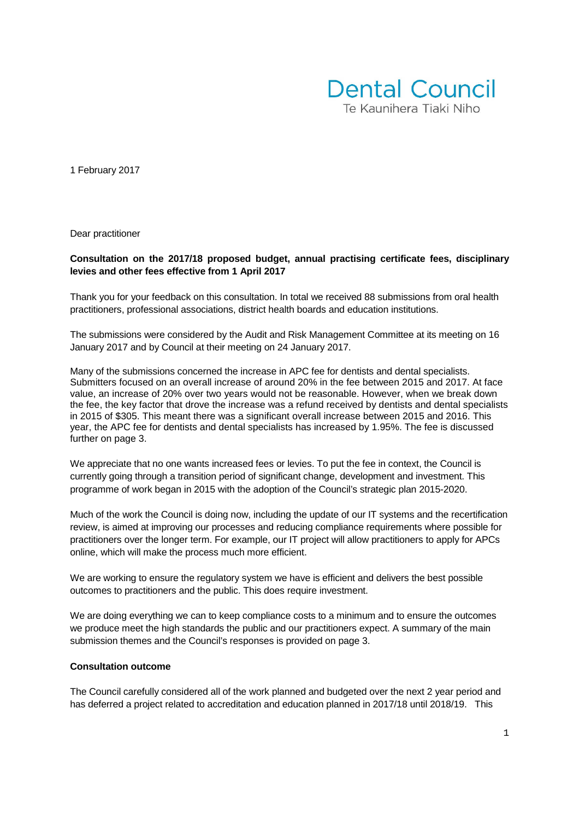

1 February 2017

Dear practitioner

#### **Consultation on the 2017/18 proposed budget, annual practising certificate fees, disciplinary levies and other fees effective from 1 April 2017**

Thank you for your feedback on this consultation. In total we received 88 submissions from oral health practitioners, professional associations, district health boards and education institutions.

The submissions were considered by the Audit and Risk Management Committee at its meeting on 16 January 2017 and by Council at their meeting on 24 January 2017.

Many of the submissions concerned the increase in APC fee for dentists and dental specialists. Submitters focused on an overall increase of around 20% in the fee between 2015 and 2017. At face value, an increase of 20% over two years would not be reasonable. However, when we break down the fee, the key factor that drove the increase was a refund received by dentists and dental specialists in 2015 of \$305. This meant there was a significant overall increase between 2015 and 2016. This year, the APC fee for dentists and dental specialists has increased by 1.95%. The fee is discussed further on page 3.

We appreciate that no one wants increased fees or levies. To put the fee in context, the Council is currently going through a transition period of significant change, development and investment. This programme of work began in 2015 with the adoption of the Council's strategic plan 2015-2020.

Much of the work the Council is doing now, including the update of our IT systems and the recertification review, is aimed at improving our processes and reducing compliance requirements where possible for practitioners over the longer term. For example, our IT project will allow practitioners to apply for APCs online, which will make the process much more efficient.

We are working to ensure the regulatory system we have is efficient and delivers the best possible outcomes to practitioners and the public. This does require investment.

We are doing everything we can to keep compliance costs to a minimum and to ensure the outcomes we produce meet the high standards the public and our practitioners expect. A summary of the main submission themes and the Council's responses is provided on page 3.

### **Consultation outcome**

The Council carefully considered all of the work planned and budgeted over the next 2 year period and has deferred a project related to accreditation and education planned in 2017/18 until 2018/19. This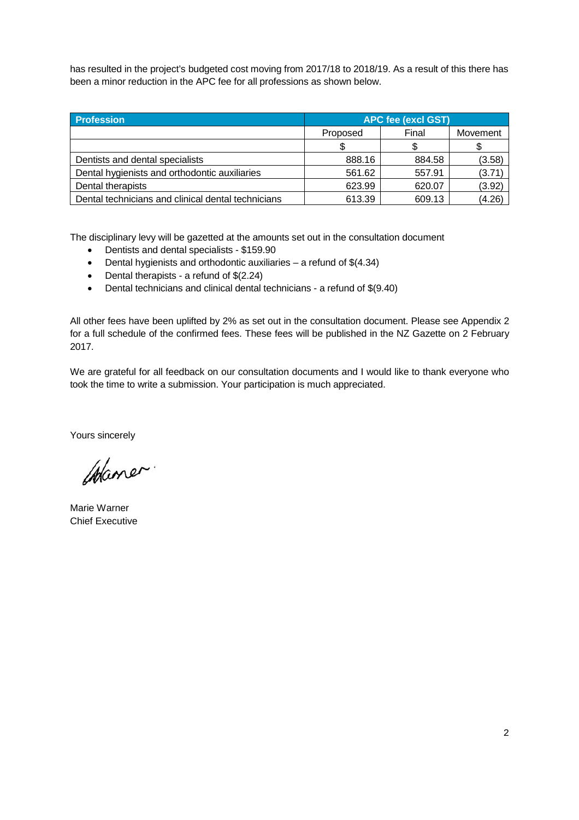has resulted in the project's budgeted cost moving from 2017/18 to 2018/19. As a result of this there has been a minor reduction in the APC fee for all professions as shown below.

| <b>Profession</b>                                  | <b>APC fee (excl GST)</b> |        |          |
|----------------------------------------------------|---------------------------|--------|----------|
|                                                    | Proposed                  | Final  | Movement |
|                                                    |                           |        |          |
| Dentists and dental specialists                    | 888.16                    | 884.58 | (3.58)   |
| Dental hygienists and orthodontic auxiliaries      | 561.62                    | 557.91 | (3.71)   |
| Dental therapists                                  | 623.99                    | 620.07 | (3.92)   |
| Dental technicians and clinical dental technicians | 613.39                    | 609.13 | (4.26)   |

The disciplinary levy will be gazetted at the amounts set out in the consultation document

- Dentists and dental specialists \$159.90
- Dental hygienists and orthodontic auxiliaries  $-$  a refund of \$(4.34)
- Dental therapists a refund of \$(2.24)
- Dental technicians and clinical dental technicians a refund of \$(9.40)

All other fees have been uplifted by 2% as set out in the consultation document. Please see Appendix 2 for a full schedule of the confirmed fees. These fees will be published in the NZ Gazette on 2 February 2017.

We are grateful for all feedback on our consultation documents and I would like to thank everyone who took the time to write a submission. Your participation is much appreciated.

Yours sincerely

Waner.

Marie Warner Chief Executive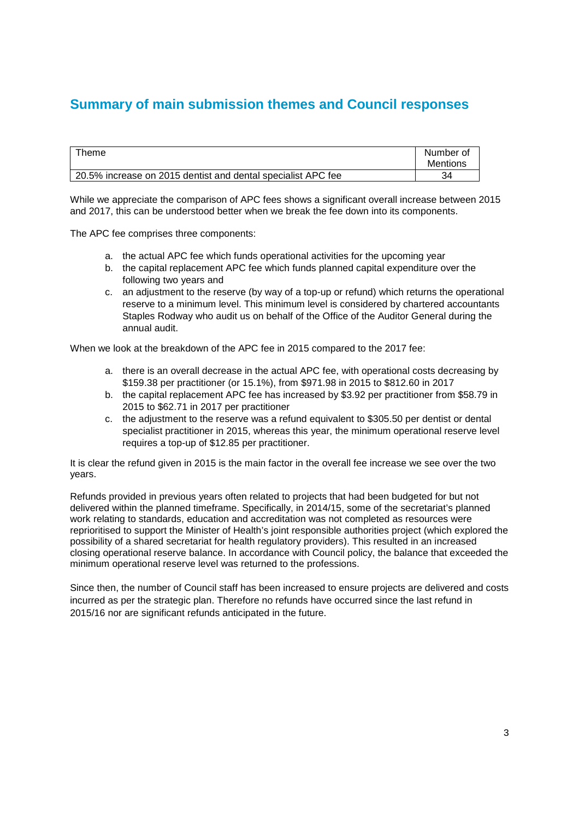### **Summary of main submission themes and Council responses**

| Theme                                                        | Number of<br>Mentions |
|--------------------------------------------------------------|-----------------------|
| 20.5% increase on 2015 dentist and dental specialist APC fee | 34                    |

While we appreciate the comparison of APC fees shows a significant overall increase between 2015 and 2017, this can be understood better when we break the fee down into its components.

The APC fee comprises three components:

- a. the actual APC fee which funds operational activities for the upcoming year
- b. the capital replacement APC fee which funds planned capital expenditure over the following two years and
- c. an adjustment to the reserve (by way of a top-up or refund) which returns the operational reserve to a minimum level. This minimum level is considered by chartered accountants Staples Rodway who audit us on behalf of the Office of the Auditor General during the annual audit.

When we look at the breakdown of the APC fee in 2015 compared to the 2017 fee:

- a. there is an overall decrease in the actual APC fee, with operational costs decreasing by \$159.38 per practitioner (or 15.1%), from \$971.98 in 2015 to \$812.60 in 2017
- b. the capital replacement APC fee has increased by \$3.92 per practitioner from \$58.79 in 2015 to \$62.71 in 2017 per practitioner
- c. the adjustment to the reserve was a refund equivalent to \$305.50 per dentist or dental specialist practitioner in 2015, whereas this year, the minimum operational reserve level requires a top-up of \$12.85 per practitioner.

It is clear the refund given in 2015 is the main factor in the overall fee increase we see over the two years.

Refunds provided in previous years often related to projects that had been budgeted for but not delivered within the planned timeframe. Specifically, in 2014/15, some of the secretariat's planned work relating to standards, education and accreditation was not completed as resources were reprioritised to support the Minister of Health's joint responsible authorities project (which explored the possibility of a shared secretariat for health regulatory providers). This resulted in an increased closing operational reserve balance. In accordance with Council policy, the balance that exceeded the minimum operational reserve level was returned to the professions.

Since then, the number of Council staff has been increased to ensure projects are delivered and costs incurred as per the strategic plan. Therefore no refunds have occurred since the last refund in 2015/16 nor are significant refunds anticipated in the future.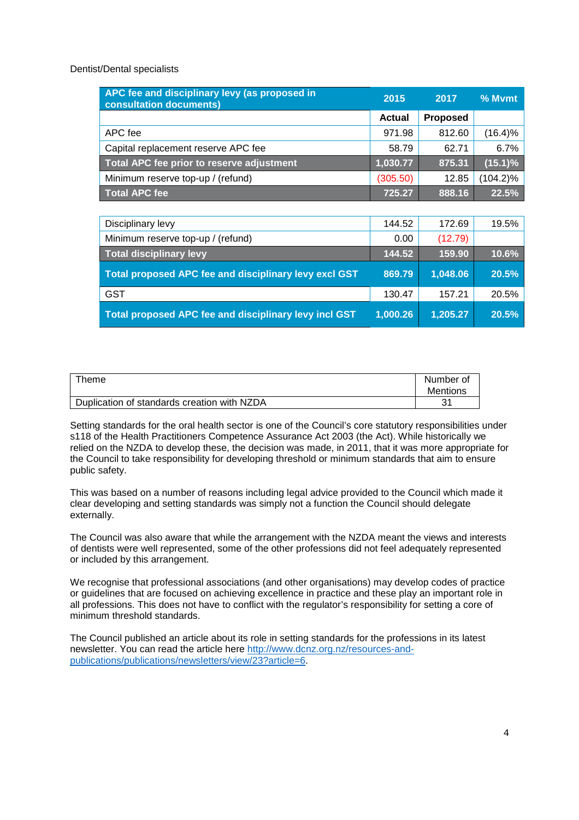Dentist/Dental specialists

| APC fee and disciplinary levy (as proposed in<br>consultation documents) | 2015     | 2017     | % Mymt      |
|--------------------------------------------------------------------------|----------|----------|-------------|
|                                                                          | Actual   | Proposed |             |
| APC fee                                                                  | 971.98   | 812.60   | $(16.4)\%$  |
| Capital replacement reserve APC fee                                      | 58.79    | 62.71    | 6.7%        |
| Total APC fee prior to reserve adjustment                                | 1,030.77 | 875.31   | (15.1)%     |
| Minimum reserve top-up / (refund)                                        | (305.50) | 12.85    | $(104.2)\%$ |
| <b>Total APC fee</b>                                                     | 725.27   | 888.16   | 22.5%       |
|                                                                          |          |          |             |
| Disciplinary levy                                                        | 144.52   | 172.69   | 19.5%       |
| Minimum reserve top-up / (refund)                                        | 0.00     | (12.79)  |             |
| <b>Total disciplinary levy</b>                                           | 144.52   | 159.90   | 10.6%       |
| Total proposed APC fee and disciplinary levy excl GST                    | 869.79   | 1,048.06 | 20.5%       |
| <b>GST</b>                                                               | 130.47   | 157.21   | 20.5%       |
| Total proposed APC fee and disciplinary levy incl GST                    | 1,000.26 | 1,205.27 | 20.5%       |

| $\tau$ heme                                 | Number of<br><b>Mentions</b> |
|---------------------------------------------|------------------------------|
| Duplication of standards creation with NZDA | へへ                           |

Setting standards for the oral health sector is one of the Council's core statutory responsibilities under s118 of the Health Practitioners Competence Assurance Act 2003 (the Act). While historically we relied on the NZDA to develop these, the decision was made, in 2011, that it was more appropriate for the Council to take responsibility for developing threshold or minimum standards that aim to ensure public safety.

This was based on a number of reasons including legal advice provided to the Council which made it clear developing and setting standards was simply not a function the Council should delegate externally.

The Council was also aware that while the arrangement with the NZDA meant the views and interests of dentists were well represented, some of the other professions did not feel adequately represented or included by this arrangement.

We recognise that professional associations (and other organisations) may develop codes of practice or guidelines that are focused on achieving excellence in practice and these play an important role in all professions. This does not have to conflict with the regulator's responsibility for setting a core of minimum threshold standards.

The Council published an article about its role in setting standards for the professions in its latest newsletter. You can read the article here http://www.dcnz.org.nz/resources-andpublications/publications/newsletters/view/23?article=6.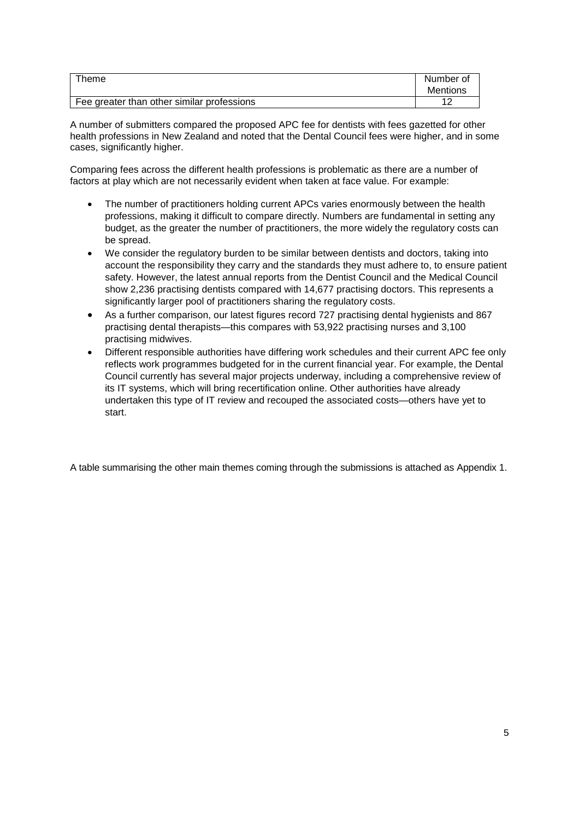| Theme                                      | Number of<br><b>Mentions</b> |
|--------------------------------------------|------------------------------|
| Fee greater than other similar professions | $\sim$<br>. .                |

A number of submitters compared the proposed APC fee for dentists with fees gazetted for other health professions in New Zealand and noted that the Dental Council fees were higher, and in some cases, significantly higher.

Comparing fees across the different health professions is problematic as there are a number of factors at play which are not necessarily evident when taken at face value. For example:

- The number of practitioners holding current APCs varies enormously between the health professions, making it difficult to compare directly. Numbers are fundamental in setting any budget, as the greater the number of practitioners, the more widely the regulatory costs can be spread.
- We consider the regulatory burden to be similar between dentists and doctors, taking into account the responsibility they carry and the standards they must adhere to, to ensure patient safety. However, the latest annual reports from the Dentist Council and the Medical Council show 2,236 practising dentists compared with 14,677 practising doctors. This represents a significantly larger pool of practitioners sharing the regulatory costs.
- As a further comparison, our latest figures record 727 practising dental hygienists and 867 practising dental therapists—this compares with 53,922 practising nurses and 3,100 practising midwives.
- Different responsible authorities have differing work schedules and their current APC fee only reflects work programmes budgeted for in the current financial year. For example, the Dental Council currently has several major projects underway, including a comprehensive review of its IT systems, which will bring recertification online. Other authorities have already undertaken this type of IT review and recouped the associated costs—others have yet to start.

A table summarising the other main themes coming through the submissions is attached as Appendix 1.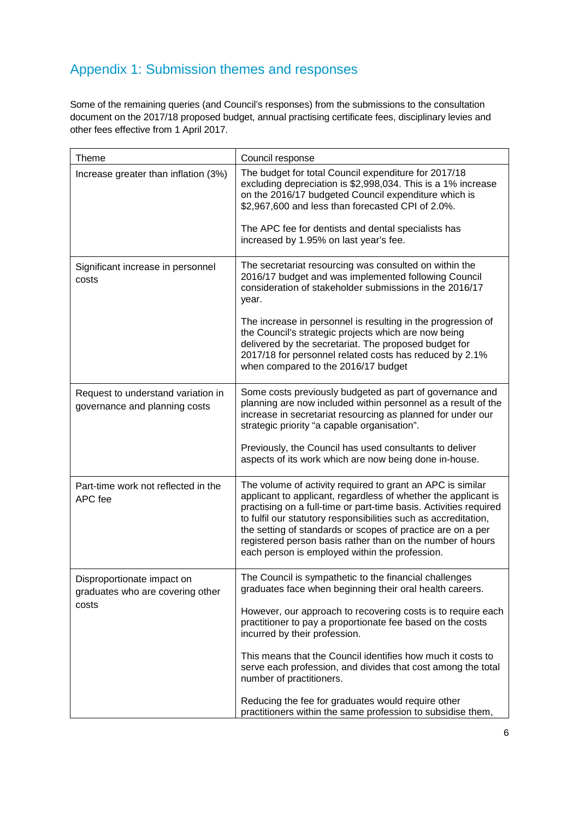## Appendix 1: Submission themes and responses

Some of the remaining queries (and Council's responses) from the submissions to the consultation document on the 2017/18 proposed budget, annual practising certificate fees, disciplinary levies and other fees effective from 1 April 2017.

| <b>Theme</b>                                                        | Council response                                                                                                                                                                                                                                                                                                                                                                                                                                    |
|---------------------------------------------------------------------|-----------------------------------------------------------------------------------------------------------------------------------------------------------------------------------------------------------------------------------------------------------------------------------------------------------------------------------------------------------------------------------------------------------------------------------------------------|
| Increase greater than inflation (3%)                                | The budget for total Council expenditure for 2017/18<br>excluding depreciation is \$2,998,034. This is a 1% increase<br>on the 2016/17 budgeted Council expenditure which is<br>\$2,967,600 and less than forecasted CPI of 2.0%.<br>The APC fee for dentists and dental specialists has<br>increased by 1.95% on last year's fee.                                                                                                                  |
|                                                                     |                                                                                                                                                                                                                                                                                                                                                                                                                                                     |
| Significant increase in personnel<br>costs                          | The secretariat resourcing was consulted on within the<br>2016/17 budget and was implemented following Council<br>consideration of stakeholder submissions in the 2016/17<br>year.                                                                                                                                                                                                                                                                  |
|                                                                     | The increase in personnel is resulting in the progression of<br>the Council's strategic projects which are now being<br>delivered by the secretariat. The proposed budget for<br>2017/18 for personnel related costs has reduced by 2.1%<br>when compared to the 2016/17 budget                                                                                                                                                                     |
| Request to understand variation in<br>governance and planning costs | Some costs previously budgeted as part of governance and<br>planning are now included within personnel as a result of the<br>increase in secretariat resourcing as planned for under our<br>strategic priority "a capable organisation".                                                                                                                                                                                                            |
|                                                                     | Previously, the Council has used consultants to deliver<br>aspects of its work which are now being done in-house.                                                                                                                                                                                                                                                                                                                                   |
| Part-time work not reflected in the<br>APC fee                      | The volume of activity required to grant an APC is similar<br>applicant to applicant, regardless of whether the applicant is<br>practising on a full-time or part-time basis. Activities required<br>to fulfil our statutory responsibilities such as accreditation,<br>the setting of standards or scopes of practice are on a per<br>registered person basis rather than on the number of hours<br>each person is employed within the profession. |
| Disproportionate impact on<br>graduates who are covering other      | The Council is sympathetic to the financial challenges<br>graduates face when beginning their oral health careers.                                                                                                                                                                                                                                                                                                                                  |
| costs                                                               | However, our approach to recovering costs is to require each<br>practitioner to pay a proportionate fee based on the costs<br>incurred by their profession.                                                                                                                                                                                                                                                                                         |
|                                                                     | This means that the Council identifies how much it costs to<br>serve each profession, and divides that cost among the total<br>number of practitioners.                                                                                                                                                                                                                                                                                             |
|                                                                     | Reducing the fee for graduates would require other<br>practitioners within the same profession to subsidise them,                                                                                                                                                                                                                                                                                                                                   |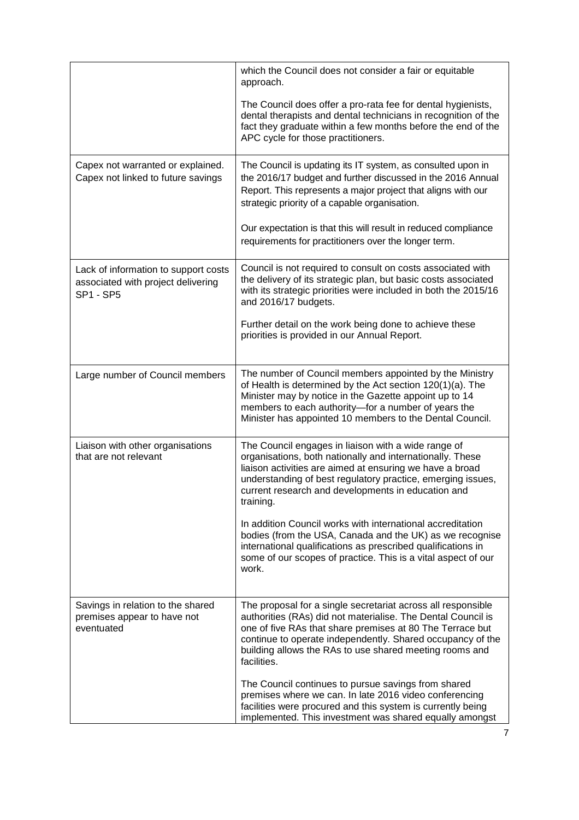|                                                                                                | which the Council does not consider a fair or equitable<br>approach.<br>The Council does offer a pro-rata fee for dental hygienists,<br>dental therapists and dental technicians in recognition of the<br>fact they graduate within a few months before the end of the                                                            |
|------------------------------------------------------------------------------------------------|-----------------------------------------------------------------------------------------------------------------------------------------------------------------------------------------------------------------------------------------------------------------------------------------------------------------------------------|
|                                                                                                | APC cycle for those practitioners.                                                                                                                                                                                                                                                                                                |
| Capex not warranted or explained.<br>Capex not linked to future savings                        | The Council is updating its IT system, as consulted upon in<br>the 2016/17 budget and further discussed in the 2016 Annual<br>Report. This represents a major project that aligns with our<br>strategic priority of a capable organisation.                                                                                       |
|                                                                                                | Our expectation is that this will result in reduced compliance<br>requirements for practitioners over the longer term.                                                                                                                                                                                                            |
| Lack of information to support costs<br>associated with project delivering<br><b>SP1 - SP5</b> | Council is not required to consult on costs associated with<br>the delivery of its strategic plan, but basic costs associated<br>with its strategic priorities were included in both the 2015/16<br>and 2016/17 budgets.                                                                                                          |
|                                                                                                | Further detail on the work being done to achieve these<br>priorities is provided in our Annual Report.                                                                                                                                                                                                                            |
| Large number of Council members                                                                | The number of Council members appointed by the Ministry<br>of Health is determined by the Act section 120(1)(a). The<br>Minister may by notice in the Gazette appoint up to 14<br>members to each authority-for a number of years the<br>Minister has appointed 10 members to the Dental Council.                                 |
| Liaison with other organisations<br>that are not relevant                                      | The Council engages in liaison with a wide range of<br>organisations, both nationally and internationally. These<br>liaison activities are aimed at ensuring we have a broad<br>understanding of best regulatory practice, emerging issues,<br>current research and developments in education and<br>training.                    |
|                                                                                                | In addition Council works with international accreditation<br>bodies (from the USA, Canada and the UK) as we recognise<br>international qualifications as prescribed qualifications in<br>some of our scopes of practice. This is a vital aspect of our<br>work.                                                                  |
| Savings in relation to the shared<br>premises appear to have not<br>eventuated                 | The proposal for a single secretariat across all responsible<br>authorities (RAs) did not materialise. The Dental Council is<br>one of five RAs that share premises at 80 The Terrace but<br>continue to operate independently. Shared occupancy of the<br>building allows the RAs to use shared meeting rooms and<br>facilities. |
|                                                                                                | The Council continues to pursue savings from shared<br>premises where we can. In late 2016 video conferencing<br>facilities were procured and this system is currently being<br>implemented. This investment was shared equally amongst                                                                                           |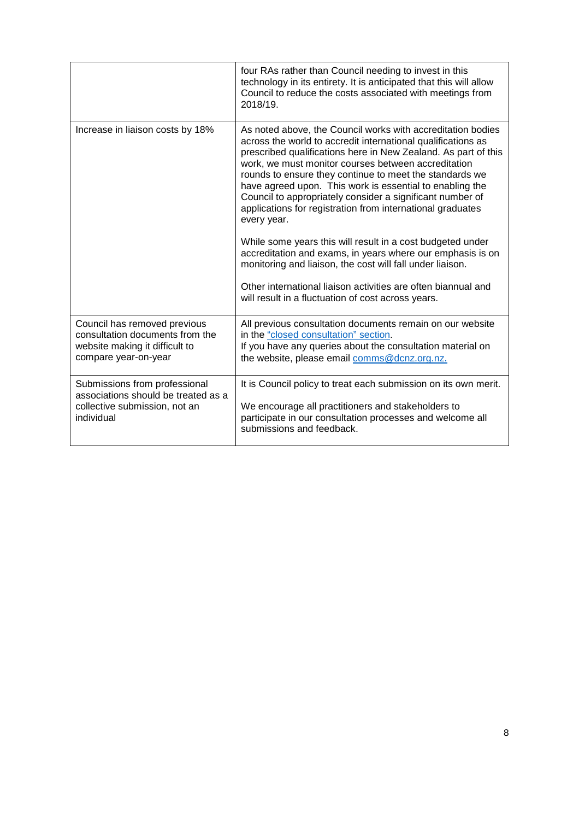|                                     | four RAs rather than Council needing to invest in this<br>technology in its entirety. It is anticipated that this will allow<br>Council to reduce the costs associated with meetings from<br>2018/19                                                                                                                                                                                                                                                                                                                                                                                                                                                                                                                                                                                                                                  |
|-------------------------------------|---------------------------------------------------------------------------------------------------------------------------------------------------------------------------------------------------------------------------------------------------------------------------------------------------------------------------------------------------------------------------------------------------------------------------------------------------------------------------------------------------------------------------------------------------------------------------------------------------------------------------------------------------------------------------------------------------------------------------------------------------------------------------------------------------------------------------------------|
| Increase in liaison costs by 18%    | As noted above, the Council works with accreditation bodies<br>across the world to accredit international qualifications as<br>prescribed qualifications here in New Zealand. As part of this<br>work, we must monitor courses between accreditation<br>rounds to ensure they continue to meet the standards we<br>have agreed upon. This work is essential to enabling the<br>Council to appropriately consider a significant number of<br>applications for registration from international graduates<br>every year.<br>While some years this will result in a cost budgeted under<br>accreditation and exams, in years where our emphasis is on<br>monitoring and liaison, the cost will fall under liaison.<br>Other international liaison activities are often biannual and<br>will result in a fluctuation of cost across years. |
| Council has removed previous        | All previous consultation documents remain on our website                                                                                                                                                                                                                                                                                                                                                                                                                                                                                                                                                                                                                                                                                                                                                                             |
| consultation documents from the     | in the "closed consultation" section.                                                                                                                                                                                                                                                                                                                                                                                                                                                                                                                                                                                                                                                                                                                                                                                                 |
| website making it difficult to      | If you have any queries about the consultation material on                                                                                                                                                                                                                                                                                                                                                                                                                                                                                                                                                                                                                                                                                                                                                                            |
| compare year-on-year                | the website, please email comms@dcnz.org.nz.                                                                                                                                                                                                                                                                                                                                                                                                                                                                                                                                                                                                                                                                                                                                                                                          |
| Submissions from professional       | It is Council policy to treat each submission on its own merit.                                                                                                                                                                                                                                                                                                                                                                                                                                                                                                                                                                                                                                                                                                                                                                       |
| associations should be treated as a | We encourage all practitioners and stakeholders to                                                                                                                                                                                                                                                                                                                                                                                                                                                                                                                                                                                                                                                                                                                                                                                    |
| collective submission, not an       | participate in our consultation processes and welcome all                                                                                                                                                                                                                                                                                                                                                                                                                                                                                                                                                                                                                                                                                                                                                                             |
| individual                          | submissions and feedback.                                                                                                                                                                                                                                                                                                                                                                                                                                                                                                                                                                                                                                                                                                                                                                                                             |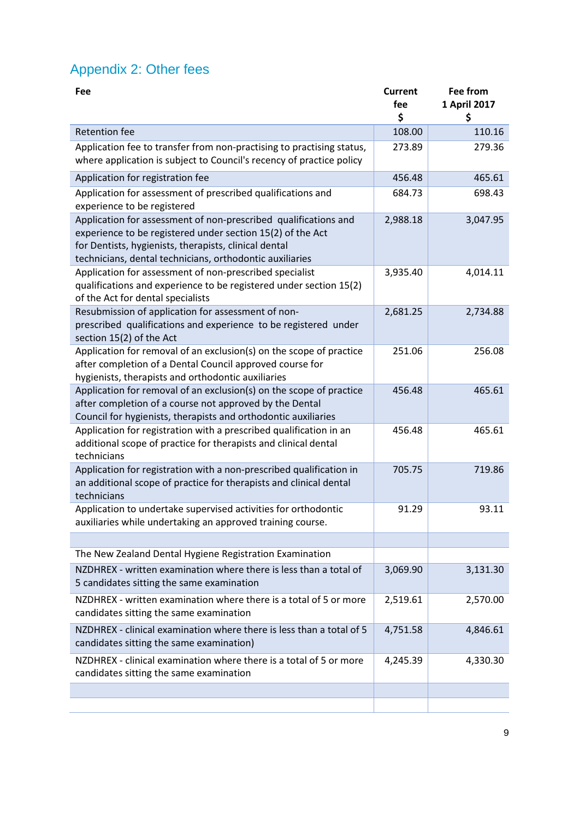# Appendix 2: Other fees

| Fee                                                                                                                                                                                                                                                | Current  | <b>Fee from</b> |
|----------------------------------------------------------------------------------------------------------------------------------------------------------------------------------------------------------------------------------------------------|----------|-----------------|
|                                                                                                                                                                                                                                                    | fee      | 1 April 2017    |
|                                                                                                                                                                                                                                                    | \$       | \$              |
| <b>Retention fee</b>                                                                                                                                                                                                                               | 108.00   | 110.16          |
| Application fee to transfer from non-practising to practising status,<br>where application is subject to Council's recency of practice policy                                                                                                      | 273.89   | 279.36          |
| Application for registration fee                                                                                                                                                                                                                   | 456.48   | 465.61          |
| Application for assessment of prescribed qualifications and<br>experience to be registered                                                                                                                                                         | 684.73   | 698.43          |
| Application for assessment of non-prescribed qualifications and<br>experience to be registered under section 15(2) of the Act<br>for Dentists, hygienists, therapists, clinical dental<br>technicians, dental technicians, orthodontic auxiliaries | 2,988.18 | 3,047.95        |
| Application for assessment of non-prescribed specialist<br>qualifications and experience to be registered under section 15(2)<br>of the Act for dental specialists                                                                                 | 3,935.40 | 4,014.11        |
| Resubmission of application for assessment of non-<br>prescribed qualifications and experience to be registered under<br>section 15(2) of the Act                                                                                                  | 2,681.25 | 2,734.88        |
| Application for removal of an exclusion(s) on the scope of practice<br>after completion of a Dental Council approved course for<br>hygienists, therapists and orthodontic auxiliaries                                                              | 251.06   | 256.08          |
| Application for removal of an exclusion(s) on the scope of practice<br>after completion of a course not approved by the Dental<br>Council for hygienists, therapists and orthodontic auxiliaries                                                   | 456.48   | 465.61          |
| Application for registration with a prescribed qualification in an<br>additional scope of practice for therapists and clinical dental<br>technicians                                                                                               | 456.48   | 465.61          |
| Application for registration with a non-prescribed qualification in<br>an additional scope of practice for therapists and clinical dental<br>technicians                                                                                           | 705.75   | 719.86          |
| Application to undertake supervised activities for orthodontic<br>auxiliaries while undertaking an approved training course.                                                                                                                       | 91.29    | 93.11           |
|                                                                                                                                                                                                                                                    |          |                 |
| The New Zealand Dental Hygiene Registration Examination                                                                                                                                                                                            |          |                 |
| NZDHREX - written examination where there is less than a total of<br>5 candidates sitting the same examination                                                                                                                                     | 3,069.90 | 3,131.30        |
| NZDHREX - written examination where there is a total of 5 or more<br>candidates sitting the same examination                                                                                                                                       | 2,519.61 | 2,570.00        |
| NZDHREX - clinical examination where there is less than a total of 5<br>candidates sitting the same examination)                                                                                                                                   | 4,751.58 | 4,846.61        |
| NZDHREX - clinical examination where there is a total of 5 or more<br>candidates sitting the same examination                                                                                                                                      | 4,245.39 | 4,330.30        |
|                                                                                                                                                                                                                                                    |          |                 |
|                                                                                                                                                                                                                                                    |          |                 |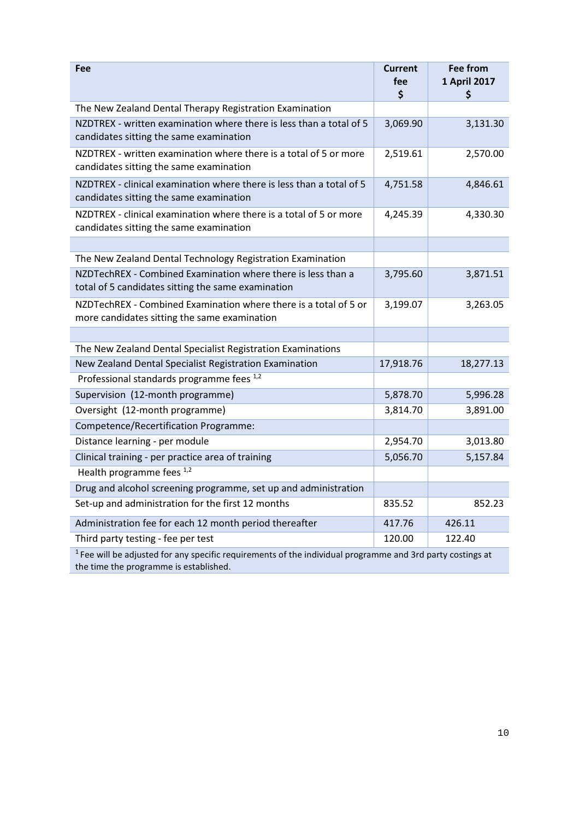| Fee                                                                                                                | <b>Current</b><br>fee<br>\$ | <b>Fee from</b><br>1 April 2017<br>S |  |
|--------------------------------------------------------------------------------------------------------------------|-----------------------------|--------------------------------------|--|
| The New Zealand Dental Therapy Registration Examination                                                            |                             |                                      |  |
| NZDTREX - written examination where there is less than a total of 5<br>candidates sitting the same examination     | 3,069.90                    | 3,131.30                             |  |
| NZDTREX - written examination where there is a total of 5 or more<br>candidates sitting the same examination       | 2,519.61                    | 2,570.00                             |  |
| NZDTREX - clinical examination where there is less than a total of 5<br>candidates sitting the same examination    | 4,751.58                    | 4,846.61                             |  |
| NZDTREX - clinical examination where there is a total of 5 or more<br>candidates sitting the same examination      | 4,245.39                    | 4,330.30                             |  |
|                                                                                                                    |                             |                                      |  |
| The New Zealand Dental Technology Registration Examination                                                         |                             |                                      |  |
| NZDTechREX - Combined Examination where there is less than a<br>total of 5 candidates sitting the same examination | 3,795.60                    | 3,871.51                             |  |
| NZDTechREX - Combined Examination where there is a total of 5 or<br>more candidates sitting the same examination   | 3,199.07                    | 3,263.05                             |  |
|                                                                                                                    |                             |                                      |  |
| The New Zealand Dental Specialist Registration Examinations                                                        |                             |                                      |  |
| New Zealand Dental Specialist Registration Examination                                                             | 17,918.76                   | 18,277.13                            |  |
| Professional standards programme fees 1,2                                                                          |                             |                                      |  |
| Supervision (12-month programme)                                                                                   | 5,878.70                    | 5,996.28                             |  |
| Oversight (12-month programme)                                                                                     | 3,814.70                    | 3,891.00                             |  |
| Competence/Recertification Programme:                                                                              |                             |                                      |  |
| Distance learning - per module                                                                                     | 2,954.70                    | 3,013.80                             |  |
| Clinical training - per practice area of training                                                                  | 5,056.70                    | 5,157.84                             |  |
| Health programme fees 1,2                                                                                          |                             |                                      |  |
| Drug and alcohol screening programme, set up and administration                                                    |                             |                                      |  |
| Set-up and administration for the first 12 months                                                                  | 835.52                      | 852.23                               |  |
| Administration fee for each 12 month period thereafter                                                             | 417.76                      | 426.11                               |  |
| Third party testing - fee per test                                                                                 | 120.00                      | 122.40                               |  |
| $1$ Fee will be adjusted for any specific requirements of the individual programme and 3rd party costings at       |                             |                                      |  |

the time the programme is established.